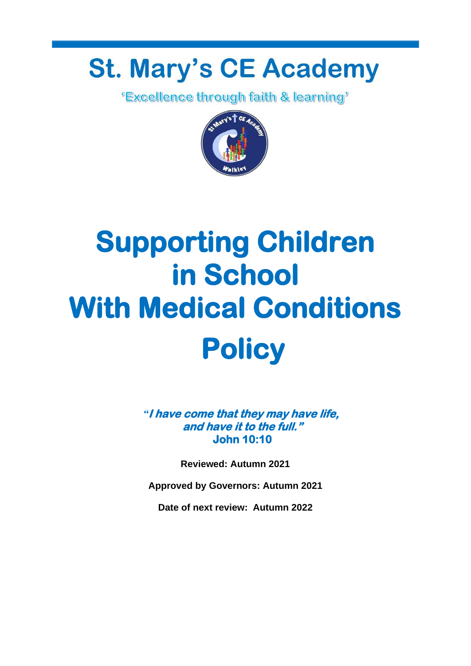# **St. Mary's CE Academy**

*<u>'Excellence through faith & learning'*</u>



# **Supporting Children in School With Medical Conditions Policy**

*"***I have come that they may have life, and have it to the full." John 10:10** 

**Reviewed: Autumn 2021**

**Approved by Governors: Autumn 2021**

**Date of next review: Autumn 2022**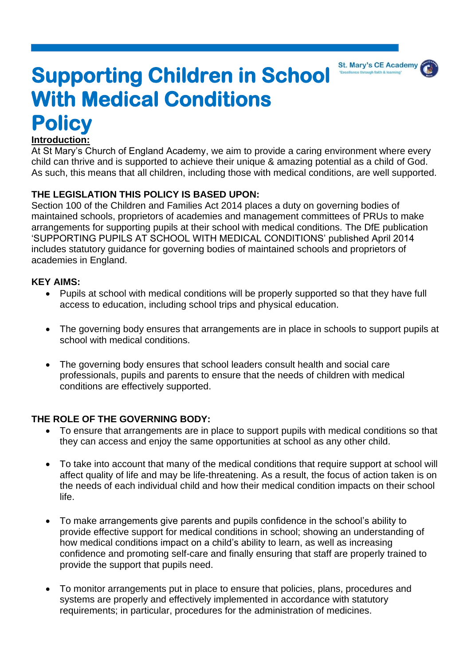

# **Supporting Children in School With Medical Conditions Policy**

#### **Introduction:**

At St Mary's Church of England Academy, we aim to provide a caring environment where every child can thrive and is supported to achieve their unique & amazing potential as a child of God. As such, this means that all children, including those with medical conditions, are well supported.

#### **THE LEGISLATION THIS POLICY IS BASED UPON:**

Section 100 of the Children and Families Act 2014 places a duty on governing bodies of maintained schools, proprietors of academies and management committees of PRUs to make arrangements for supporting pupils at their school with medical conditions. The DfE publication 'SUPPORTING PUPILS AT SCHOOL WITH MEDICAL CONDITIONS' published April 2014 includes statutory guidance for governing bodies of maintained schools and proprietors of academies in England.

#### **KEY AIMS:**

- Pupils at school with medical conditions will be properly supported so that they have full access to education, including school trips and physical education.
- The governing body ensures that arrangements are in place in schools to support pupils at school with medical conditions.
- The governing body ensures that school leaders consult health and social care professionals, pupils and parents to ensure that the needs of children with medical conditions are effectively supported.

#### **THE ROLE OF THE GOVERNING BODY:**

- To ensure that arrangements are in place to support pupils with medical conditions so that they can access and enjoy the same opportunities at school as any other child.
- To take into account that many of the medical conditions that require support at school will affect quality of life and may be life-threatening. As a result, the focus of action taken is on the needs of each individual child and how their medical condition impacts on their school life.
- To make arrangements give parents and pupils confidence in the school's ability to provide effective support for medical conditions in school; showing an understanding of how medical conditions impact on a child's ability to learn, as well as increasing confidence and promoting self-care and finally ensuring that staff are properly trained to provide the support that pupils need.
- To monitor arrangements put in place to ensure that policies, plans, procedures and systems are properly and effectively implemented in accordance with statutory requirements; in particular, procedures for the administration of medicines.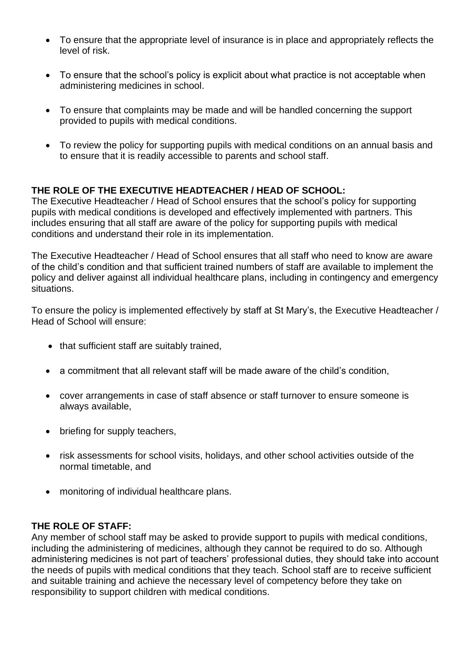- To ensure that the appropriate level of insurance is in place and appropriately reflects the level of risk.
- To ensure that the school's policy is explicit about what practice is not acceptable when administering medicines in school.
- To ensure that complaints may be made and will be handled concerning the support provided to pupils with medical conditions.
- To review the policy for supporting pupils with medical conditions on an annual basis and to ensure that it is readily accessible to parents and school staff.

#### **THE ROLE OF THE EXECUTIVE HEADTEACHER / HEAD OF SCHOOL:**

The Executive Headteacher / Head of School ensures that the school's policy for supporting pupils with medical conditions is developed and effectively implemented with partners. This includes ensuring that all staff are aware of the policy for supporting pupils with medical conditions and understand their role in its implementation.

The Executive Headteacher / Head of School ensures that all staff who need to know are aware of the child's condition and that sufficient trained numbers of staff are available to implement the policy and deliver against all individual healthcare plans, including in contingency and emergency situations.

To ensure the policy is implemented effectively by staff at St Mary's, the Executive Headteacher / Head of School will ensure:

- that sufficient staff are suitably trained,
- a commitment that all relevant staff will be made aware of the child's condition,
- cover arrangements in case of staff absence or staff turnover to ensure someone is always available,
- briefing for supply teachers,
- risk assessments for school visits, holidays, and other school activities outside of the normal timetable, and
- monitoring of individual healthcare plans.

#### **THE ROLE OF STAFF:**

Any member of school staff may be asked to provide support to pupils with medical conditions, including the administering of medicines, although they cannot be required to do so. Although administering medicines is not part of teachers' professional duties, they should take into account the needs of pupils with medical conditions that they teach. School staff are to receive sufficient and suitable training and achieve the necessary level of competency before they take on responsibility to support children with medical conditions.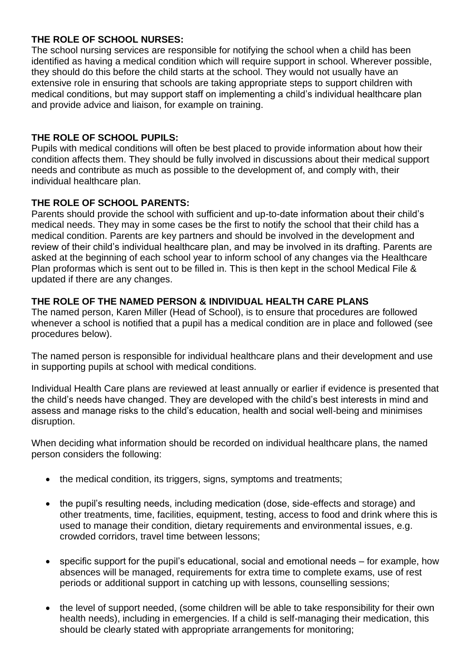#### **THE ROLE OF SCHOOL NURSES:**

The school nursing services are responsible for notifying the school when a child has been identified as having a medical condition which will require support in school. Wherever possible, they should do this before the child starts at the school. They would not usually have an extensive role in ensuring that schools are taking appropriate steps to support children with medical conditions, but may support staff on implementing a child's individual healthcare plan and provide advice and liaison, for example on training.

#### **THE ROLE OF SCHOOL PUPILS:**

Pupils with medical conditions will often be best placed to provide information about how their condition affects them. They should be fully involved in discussions about their medical support needs and contribute as much as possible to the development of, and comply with, their individual healthcare plan.

#### **THE ROLE OF SCHOOL PARENTS:**

Parents should provide the school with sufficient and up-to-date information about their child's medical needs. They may in some cases be the first to notify the school that their child has a medical condition. Parents are key partners and should be involved in the development and review of their child's individual healthcare plan, and may be involved in its drafting. Parents are asked at the beginning of each school year to inform school of any changes via the Healthcare Plan proformas which is sent out to be filled in. This is then kept in the school Medical File & updated if there are any changes.

#### **THE ROLE OF THE NAMED PERSON & INDIVIDUAL HEALTH CARE PLANS**

The named person, Karen Miller (Head of School), is to ensure that procedures are followed whenever a school is notified that a pupil has a medical condition are in place and followed (see procedures below).

The named person is responsible for individual healthcare plans and their development and use in supporting pupils at school with medical conditions.

Individual Health Care plans are reviewed at least annually or earlier if evidence is presented that the child's needs have changed. They are developed with the child's best interests in mind and assess and manage risks to the child's education, health and social well-being and minimises disruption.

When deciding what information should be recorded on individual healthcare plans, the named person considers the following:

- the medical condition, its triggers, signs, symptoms and treatments;
- the pupil's resulting needs, including medication (dose, side-effects and storage) and other treatments, time, facilities, equipment, testing, access to food and drink where this is used to manage their condition, dietary requirements and environmental issues, e.g. crowded corridors, travel time between lessons;
- specific support for the pupil's educational, social and emotional needs for example, how absences will be managed, requirements for extra time to complete exams, use of rest periods or additional support in catching up with lessons, counselling sessions;
- the level of support needed, (some children will be able to take responsibility for their own health needs), including in emergencies. If a child is self-managing their medication, this should be clearly stated with appropriate arrangements for monitoring;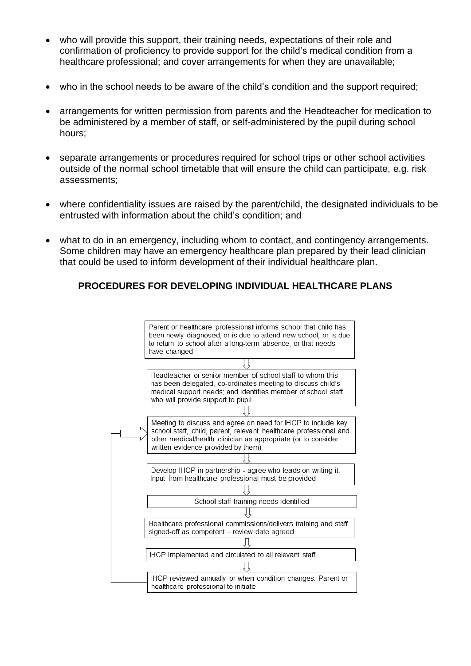- who will provide this support, their training needs, expectations of their role and confirmation of proficiency to provide support for the child's medical condition from a healthcare professional; and cover arrangements for when they are unavailable;
- who in the school needs to be aware of the child's condition and the support required;
- arrangements for written permission from parents and the Headteacher for medication to be administered by a member of staff, or self-administered by the pupil during school hours;
- separate arrangements or procedures required for school trips or other school activities outside of the normal school timetable that will ensure the child can participate, e.g. risk assessments;
- where confidentiality issues are raised by the parent/child, the designated individuals to be entrusted with information about the child's condition; and
- what to do in an emergency, including whom to contact, and contingency arrangements. Some children may have an emergency healthcare plan prepared by their lead clinician that could be used to inform development of their individual healthcare plan.

#### **PROCEDURES FOR DEVELOPING INDIVIDUAL HEALTHCARE PLANS**

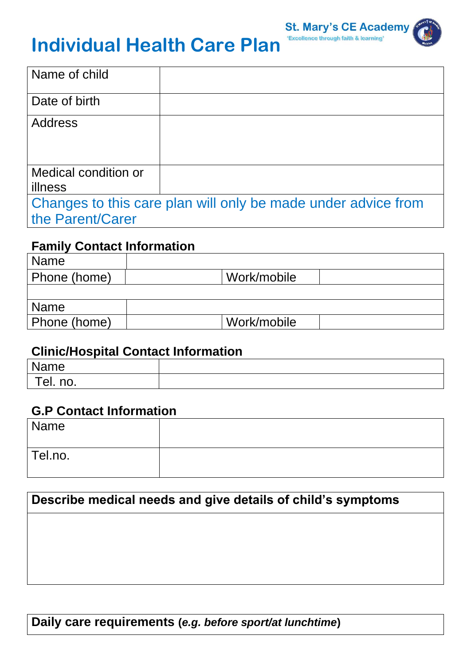

# **Individual Health Care Plan**

| Name of child                                                 |  |  |
|---------------------------------------------------------------|--|--|
| Date of birth                                                 |  |  |
| <b>Address</b>                                                |  |  |
|                                                               |  |  |
|                                                               |  |  |
| Medical condition or                                          |  |  |
| illness                                                       |  |  |
| Changes to this care plan will only be made under advice from |  |  |
| the Parent/Carer                                              |  |  |

## **Family Contact Information**

| <b>Name</b>  |             |
|--------------|-------------|
| Phone (home) | Work/mobile |
|              |             |
| Name         |             |
| Phone (home) | Work/mobile |

### **Clinic/Hospital Contact Information**

| Name                                   |  |
|----------------------------------------|--|
| $\overline{\phantom{a}}$<br>no.<br>el. |  |

## **G.P Contact Information**

| Name    |  |
|---------|--|
| Tel.no. |  |

# **Describe medical needs and give details of child's symptoms**

## **Daily care requirements (***e.g. before sport/at lunchtime***)**